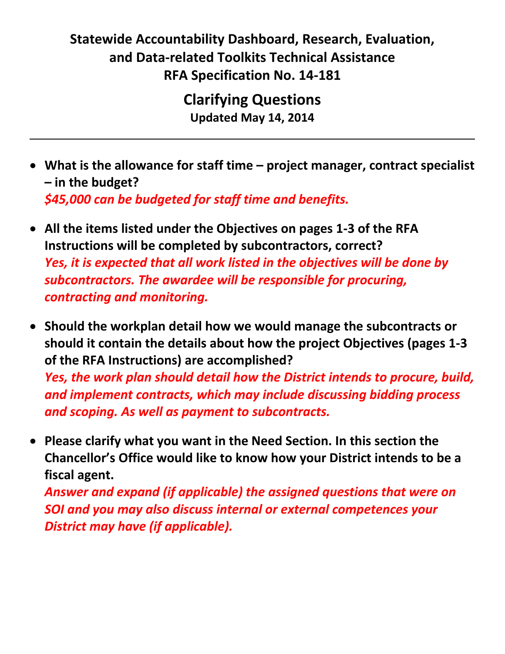## **Statewide Accountability Dashboard, Research, Evaluation, and Data-related Toolkits Technical Assistance RFA Specification No. 14-181**

**Clarifying Questions Updated May 14, 2014**

- **What is the allowance for staff time – project manager, contract specialist – in the budget?**  *\$45,000 can be budgeted for staff time and benefits.*
- **All the items listed under the Objectives on pages 1-3 of the RFA Instructions will be completed by subcontractors, correct?** *Yes, it is expected that all work listed in the objectives will be done by subcontractors. The awardee will be responsible for procuring, contracting and monitoring.*
- **Should the workplan detail how we would manage the subcontracts or should it contain the details about how the project Objectives (pages 1-3 of the RFA Instructions) are accomplished?**

*Yes, the work plan should detail how the District intends to procure, build, and implement contracts, which may include discussing bidding process and scoping. As well as payment to subcontracts.*

 **Please clarify what you want in the Need Section. In this section the Chancellor's Office would like to know how your District intends to be a fiscal agent.**

*Answer and expand (if applicable) the assigned questions that were on SOI and you may also discuss internal or external competences your District may have (if applicable).*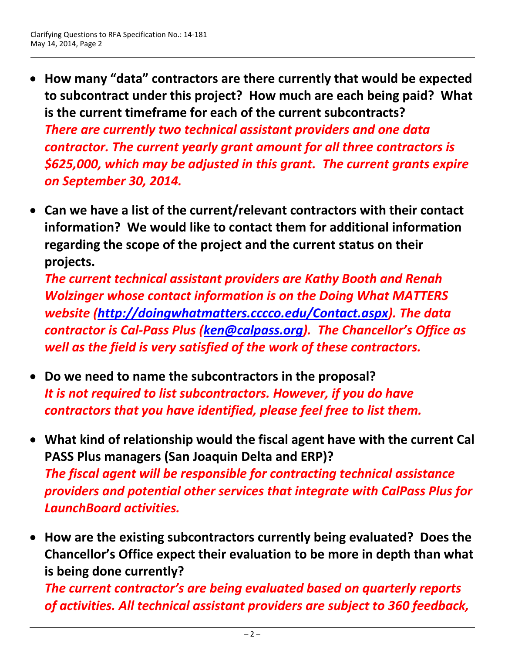- **How many "data" contractors are there currently that would be expected to subcontract under this project? How much are each being paid? What is the current timeframe for each of the current subcontracts?** *There are currently two technical assistant providers and one data contractor. The current yearly grant amount for all three contractors is \$625,000, which may be adjusted in this grant. The current grants expire on September 30, 2014.*
- **Can we have a list of the current/relevant contractors with their contact information? We would like to contact them for additional information regarding the scope of the project and the current status on their projects.**

*The current technical assistant providers are Kathy Booth and Renah Wolzinger whose contact information is on the Doing What MATTERS website [\(http://doingwhatmatters.cccco.edu/Contact.aspx\)](http://doingwhatmatters.cccco.edu/Contact.aspx). The data contractor is Cal-Pass Plus [\(ken@calpass.org](mailto:ken@calpass.org)). The Chancellor's Office as well as the field is very satisfied of the work of these contractors.*

- **Do we need to name the subcontractors in the proposal?** *It is not required to list subcontractors. However, if you do have contractors that you have identified, please feel free to list them.*
- **What kind of relationship would the fiscal agent have with the current Cal PASS Plus managers (San Joaquin Delta and ERP)?** *The fiscal agent will be responsible for contracting technical assistance providers and potential other services that integrate with CalPass Plus for LaunchBoard activities.*
- **How are the existing subcontractors currently being evaluated? Does the Chancellor's Office expect their evaluation to be more in depth than what is being done currently?**

*The current contractor's are being evaluated based on quarterly reports of activities. All technical assistant providers are subject to 360 feedback,*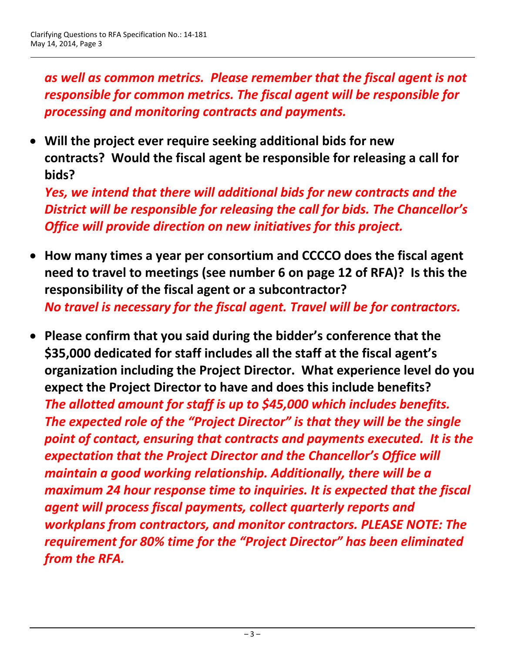*as well as common metrics. Please remember that the fiscal agent is not responsible for common metrics. The fiscal agent will be responsible for processing and monitoring contracts and payments.*

 **Will the project ever require seeking additional bids for new contracts? Would the fiscal agent be responsible for releasing a call for bids?**

*Yes, we intend that there will additional bids for new contracts and the District will be responsible for releasing the call for bids. The Chancellor's Office will provide direction on new initiatives for this project.*

- **How many times a year per consortium and CCCCO does the fiscal agent need to travel to meetings (see number 6 on page 12 of RFA)? Is this the responsibility of the fiscal agent or a subcontractor?** *No travel is necessary for the fiscal agent. Travel will be for contractors.*
- **Please confirm that you said during the bidder's conference that the \$35,000 dedicated for staff includes all the staff at the fiscal agent's organization including the Project Director. What experience level do you expect the Project Director to have and does this include benefits?** *The allotted amount for staff is up to \$45,000 which includes benefits. The expected role of the "Project Director" is that they will be the single point of contact, ensuring that contracts and payments executed. It is the expectation that the Project Director and the Chancellor's Office will maintain a good working relationship. Additionally, there will be a maximum 24 hour response time to inquiries. It is expected that the fiscal agent will process fiscal payments, collect quarterly reports and workplans from contractors, and monitor contractors. PLEASE NOTE: The requirement for 80% time for the "Project Director" has been eliminated from the RFA.*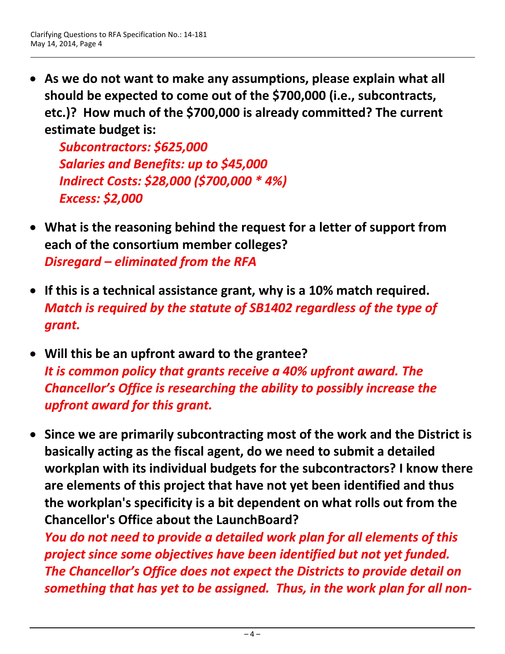**As we do not want to make any assumptions, please explain what all should be expected to come out of the \$700,000 (i.e., subcontracts, etc.)? How much of the \$700,000 is already committed? The current estimate budget is:**

*Subcontractors: \$625,000 Salaries and Benefits: up to \$45,000 Indirect Costs: \$28,000 (\$700,000 \* 4%) Excess: \$2,000*

- **What is the reasoning behind the request for a letter of support from each of the consortium member colleges?** *Disregard – eliminated from the RFA*
- **If this is a technical assistance grant, why is a 10% match required.** *Match is required by the statute of SB1402 regardless of the type of grant.*
- **Will this be an upfront award to the grantee?** *It is common policy that grants receive a 40% upfront award. The Chancellor's Office is researching the ability to possibly increase the upfront award for this grant.*
- **Since we are primarily subcontracting most of the work and the District is basically acting as the fiscal agent, do we need to submit a detailed workplan with its individual budgets for the subcontractors? I know there are elements of this project that have not yet been identified and thus the workplan's specificity is a bit dependent on what rolls out from the Chancellor's Office about the LaunchBoard?**

*You do not need to provide a detailed work plan for all elements of this project since some objectives have been identified but not yet funded. The Chancellor's Office does not expect the Districts to provide detail on something that has yet to be assigned. Thus, in the work plan for all non-*